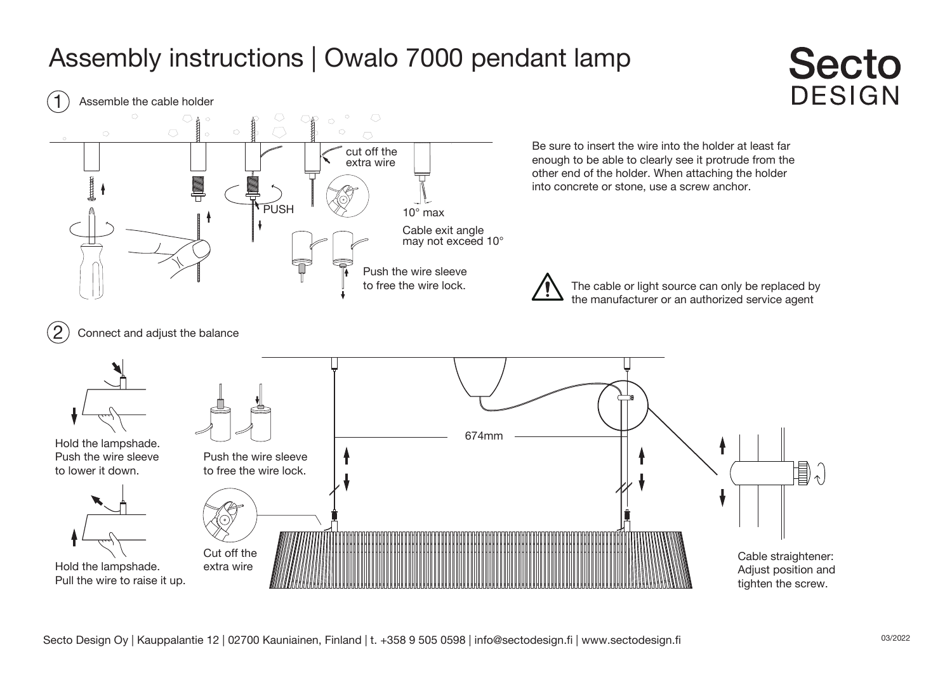## Assembly instructions | Owalo 7000 pendant lamp